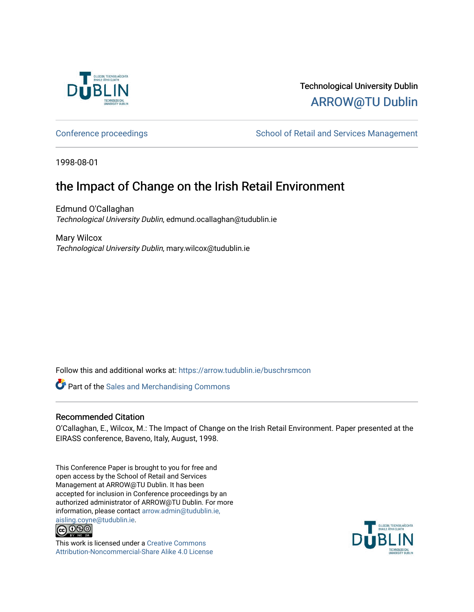

# Technological University Dublin [ARROW@TU Dublin](https://arrow.tudublin.ie/)

[Conference proceedings](https://arrow.tudublin.ie/buschrsmcon) The School of Retail and Services Management

1998-08-01

# the Impact of Change on the Irish Retail Environment

Edmund O'Callaghan Technological University Dublin, edmund.ocallaghan@tudublin.ie

Mary Wilcox Technological University Dublin, mary.wilcox@tudublin.ie

Follow this and additional works at: [https://arrow.tudublin.ie/buschrsmcon](https://arrow.tudublin.ie/buschrsmcon?utm_source=arrow.tudublin.ie%2Fbuschrsmcon%2F6&utm_medium=PDF&utm_campaign=PDFCoverPages) 

**Part of the [Sales and Merchandising Commons](http://network.bepress.com/hgg/discipline/646?utm_source=arrow.tudublin.ie%2Fbuschrsmcon%2F6&utm_medium=PDF&utm_campaign=PDFCoverPages)** 

#### Recommended Citation

O'Callaghan, E., Wilcox, M.: The Impact of Change on the Irish Retail Environment. Paper presented at the EIRASS conference, Baveno, Italy, August, 1998.

This Conference Paper is brought to you for free and open access by the School of Retail and Services Management at ARROW@TU Dublin. It has been accepted for inclusion in Conference proceedings by an authorized administrator of ARROW@TU Dublin. For more information, please contact [arrow.admin@tudublin.ie,](mailto:arrow.admin@tudublin.ie,%20aisling.coyne@tudublin.ie) 



This work is licensed under a [Creative Commons](http://creativecommons.org/licenses/by-nc-sa/4.0/) [Attribution-Noncommercial-Share Alike 4.0 License](http://creativecommons.org/licenses/by-nc-sa/4.0/)

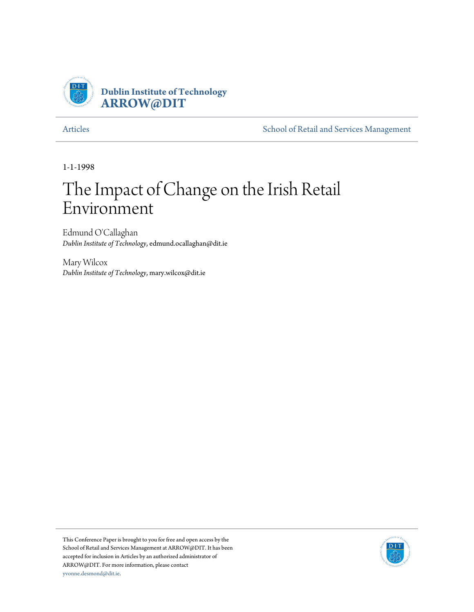

[Articles](http://arrow.dit.ie/buschrsmart) **[School of Retail and Services Management](http://arrow.dit.ie/buschrsm)** 

1-1-1998

# The Impact of Change on the Irish Retail Environment

Edmund O'Callaghan *Dublin Institute of Technology*, edmund.ocallaghan@dit.ie

Mary Wilcox *Dublin Institute of Technology*, mary.wilcox@dit.ie

This Conference Paper is brought to you for free and open access by the School of Retail and Services Management at ARROW@DIT. It has been accepted for inclusion in Articles by an authorized administrator of ARROW@DIT. For more information, please contact [yvonne.desmond@dit.ie.](mailto:yvonne.desmond@dit.ie)

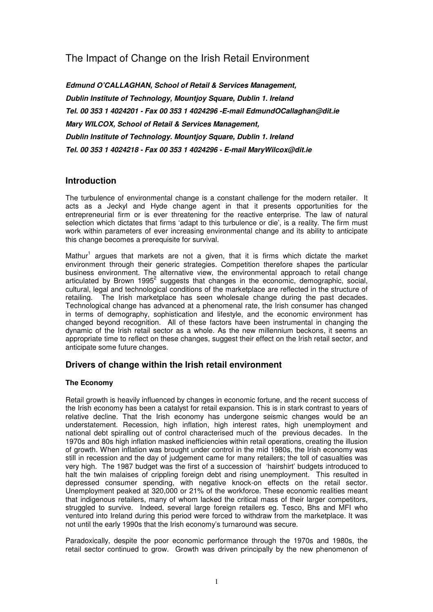## The Impact of Change on the Irish Retail Environment

**Edmund O'CALLAGHAN, School of Retail & Services Management, Dublin Institute of Technology, Mountjoy Square, Dublin 1. Ireland Tel. 00 353 1 4024201 - Fax 00 353 1 4024296 -E-mail EdmundOCallaghan@dit.ie Mary WILCOX, School of Retail & Services Management, Dublin Institute of Technology. Mountjoy Square, Dublin 1. Ireland Tel. 00 353 1 4024218 - Fax 00 353 1 4024296 - E-mail MaryWilcox@dit.ie** 

### **Introduction**

The turbulence of environmental change is a constant challenge for the modern retailer. It acts as a Jeckyl and Hyde change agent in that it presents opportunities for the entrepreneurial firm or is ever threatening for the reactive enterprise. The law of natural selection which dictates that firms 'adapt to this turbulence or die', is a reality. The firm must work within parameters of ever increasing environmental change and its ability to anticipate this change becomes a prerequisite for survival.

Mathur<sup>1</sup> argues that markets are not a given, that it is firms which dictate the market environment through their generic strategies. Competition therefore shapes the particular business environment. The alternative view, the environmental approach to retail change articulated by Brown 1995<sup>2</sup> suggests that changes in the economic, demographic, social, cultural, legal and technological conditions of the marketplace are reflected in the structure of retailing. The Irish marketplace has seen wholesale change during the past decades. Technological change has advanced at a phenomenal rate, the Irish consumer has changed in terms of demography, sophistication and lifestyle, and the economic environment has changed beyond recognition. All of these factors have been instrumental in changing the dynamic of the Irish retail sector as a whole. As the new millennium beckons, it seems an appropriate time to reflect on these changes, suggest their effect on the Irish retail sector, and anticipate some future changes.

#### **Drivers of change within the Irish retail environment**

#### **The Economy**

Retail growth is heavily influenced by changes in economic fortune, and the recent success of the Irish economy has been a catalyst for retail expansion. This is in stark contrast to years of relative decline. That the Irish economy has undergone seismic changes would be an understatement. Recession, high inflation, high interest rates, high unemployment and national debt spiralling out of control characterised much of the previous decades. In the 1970s and 80s high inflation masked inefficiencies within retail operations, creating the illusion of growth. When inflation was brought under control in the mid 1980s, the Irish economy was still in recession and the day of judgement came for many retailers; the toll of casualties was very high. The 1987 budget was the first of a succession of 'hairshirt' budgets introduced to halt the twin malaises of crippling foreign debt and rising unemployment. This resulted in depressed consumer spending, with negative knock-on effects on the retail sector. Unemployment peaked at 320,000 or 21% of the workforce. These economic realities meant that indigenous retailers, many of whom lacked the critical mass of their larger competitors, struggled to survive. Indeed, several large foreign retailers eg. Tesco, Bhs and MFI who ventured into Ireland during this period were forced to withdraw from the marketplace. It was not until the early 1990s that the Irish economy's turnaround was secure.

Paradoxically, despite the poor economic performance through the 1970s and 1980s, the retail sector continued to grow. Growth was driven principally by the new phenomenon of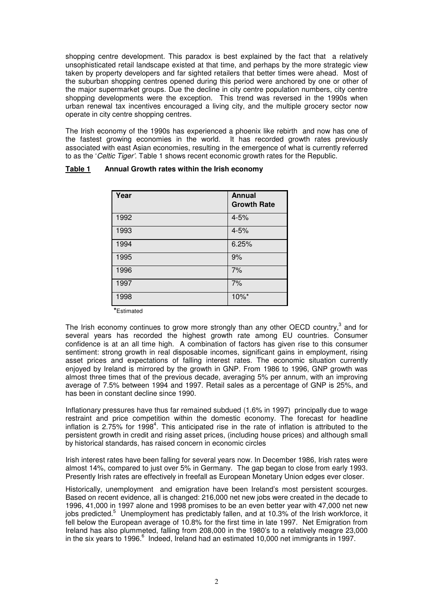shopping centre development. This paradox is best explained by the fact that a relatively unsophisticated retail landscape existed at that time, and perhaps by the more strategic view taken by property developers and far sighted retailers that better times were ahead. Most of the suburban shopping centres opened during this period were anchored by one or other of the major supermarket groups. Due the decline in city centre population numbers, city centre shopping developments were the exception. This trend was reversed in the 1990s when urban renewal tax incentives encouraged a living city, and the multiple grocery sector now operate in city centre shopping centres.

The Irish economy of the 1990s has experienced a phoenix like rebirth and now has one of the fastest growing economies in the world. It has recorded growth rates previously associated with east Asian economies, resulting in the emergence of what is currently referred to as the 'Celtic Tiger'. Table 1 shows recent economic growth rates for the Republic.

| Year | <b>Annual</b><br><b>Growth Rate</b> |
|------|-------------------------------------|
| 1992 | $4 - 5%$                            |
| 1993 | $4 - 5%$                            |
| 1994 | 6.25%                               |
| 1995 | 9%                                  |
| 1996 | 7%                                  |
| 1997 | 7%                                  |
| 1998 | 10%*                                |

#### **Table 1 Annual Growth rates within the Irish economy**

 **\***Estimated

The Irish economy continues to grow more strongly than any other OECD country,<sup>3</sup> and for several years has recorded the highest growth rate among EU countries. Consumer confidence is at an all time high. A combination of factors has given rise to this consumer sentiment: strong growth in real disposable incomes, significant gains in employment, rising asset prices and expectations of falling interest rates. The economic situation currently enjoyed by Ireland is mirrored by the growth in GNP. From 1986 to 1996, GNP growth was almost three times that of the previous decade, averaging 5% per annum, with an improving average of 7.5% between 1994 and 1997. Retail sales as a percentage of GNP is 25%, and has been in constant decline since 1990.

Inflationary pressures have thus far remained subdued (1.6% in 1997) principally due to wage restraint and price competition within the domestic economy. The forecast for headline inflation is 2.75% for 1998<sup>4</sup>. This anticipated rise in the rate of inflation is attributed to the persistent growth in credit and rising asset prices, (including house prices) and although small by historical standards, has raised concern in economic circles

Irish interest rates have been falling for several years now. In December 1986, Irish rates were almost 14%, compared to just over 5% in Germany. The gap began to close from early 1993. Presently Irish rates are effectively in freefall as European Monetary Union edges ever closer.

Historically, unemployment and emigration have been Ireland's most persistent scourges. Based on recent evidence, all is changed: 216,000 net new jobs were created in the decade to 1996, 41,000 in 1997 alone and 1998 promises to be an even better year with 47,000 net new jobs predicted.<sup>5</sup> Unemployment has predictably fallen, and at 10.3% of the Irish workforce, it fell below the European average of 10.8% for the first time in late 1997. Net Emigration from Ireland has also plummeted, falling from 208,000 in the 1980's to a relatively meagre 23,000 in the six years to 1996. $^6$  Indeed, Ireland had an estimated 10,000 net immigrants in 1997.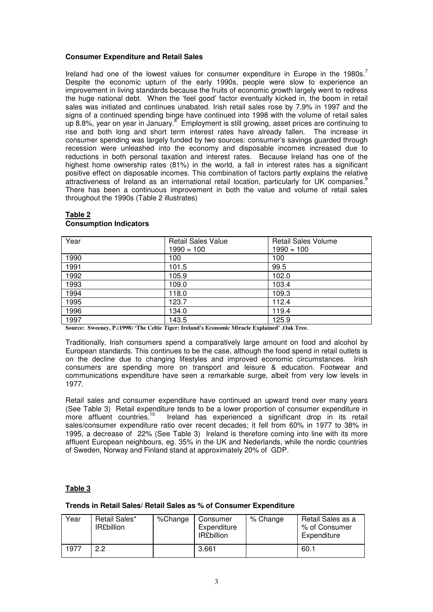#### **Consumer Expenditure and Retail Sales**

Ireland had one of the lowest values for consumer expenditure in Europe in the 1980s.<sup>7</sup> Despite the economic upturn of the early 1990s, people were slow to experience an improvement in living standards because the fruits of economic growth largely went to redress the huge national debt. When the 'feel good' factor eventually kicked in, the boom in retail sales was initiated and continues unabated. Irish retail sales rose by 7.9% in 1997 and the signs of a continued spending binge have continued into 1998 with the volume of retail sales up 8.8%, year on year in January.<sup>8</sup> Employment is still growing, asset prices are continuing to rise and both long and short term interest rates have already fallen. The increase in consumer spending was largely funded by two sources: consumer's savings guarded through recession were unleashed into the economy and disposable incomes increased due to reductions in both personal taxation and interest rates. Because Ireland has one of the highest home ownership rates (81%) in the world, a fall in interest rates has a significant positive effect on disposable incomes. This combination of factors partly explains the relative attractiveness of Ireland as an international retail location, particularly for UK companies. $^9$ There has been a continuous improvement in both the value and volume of retail sales throughout the 1990s (Table 2 illustrates)

| Year | <b>Retail Sales Value</b> | <b>Retail Sales Volume</b> |
|------|---------------------------|----------------------------|
|      | $1990 = 100$              | $1990 = 100$               |
| 1990 | 100                       | 100                        |
| 1991 | 101.5                     | 99.5                       |
| 1992 | 105.9                     | 102.0                      |
| 1993 | 109.0                     | 103.4                      |
| 1994 | 118.0                     | 109.3                      |
| 1995 | 123.7                     | 112.4                      |
| 1996 | 134.0                     | 119.4                      |
| 1997 | 143.5                     | 125.9                      |

#### **Table 2 Consumption Indicators**

**Source: Sweeney, P.(1998) 'The Celtic Tiger: Ireland's Economic Miracle Explained' ,Oak Tree.** 

Traditionally, Irish consumers spend a comparatively large amount on food and alcohol by European standards. This continues to be the case, although the food spend in retail outlets is on the decline due to changing lifestyles and improved economic circumstances. Irish consumers are spending more on transport and leisure & education. Footwear and communications expenditure have seen a remarkable surge, albeit from very low levels in 1977.

Retail sales and consumer expenditure have continued an upward trend over many years (See Table 3) Retail expenditure tends to be a lower proportion of consumer expenditure in more affluent countries.<sup>10</sup> Ireland has experienced a significant drop in its retail Ireland has experienced a significant drop in its retail sales/consumer expenditure ratio over recent decades; it fell from 60% in 1977 to 38% in 1995, a decrease of 22% (See Table 3) Ireland is therefore coming into line with its more affluent European neighbours, eg. 35% in the UK and Nederlands, while the nordic countries of Sweden, Norway and Finland stand at approximately 20% of GDP.

#### **Table 3**

#### **Trends in Retail Sales/ Retail Sales as % of Consumer Expenditure**

| Year | Retail Sales*<br><b>IR£billion</b> | %Change | Consumer<br>Expenditure<br><b>IR</b> £billion | % Change | Retail Sales as a<br>% of Consumer<br>Expenditure |
|------|------------------------------------|---------|-----------------------------------------------|----------|---------------------------------------------------|
| 1977 | 2.2                                |         | 3.661                                         |          | 60.7                                              |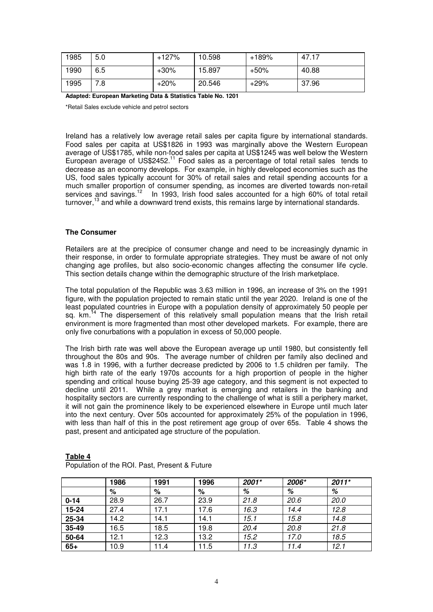| 1985 | 5.0 | $+127%$ | 10.598 | $+189%$ | 47.17 |
|------|-----|---------|--------|---------|-------|
| 1990 | 6.5 | $+30\%$ | 15.897 | +50%    | 40.88 |
| 1995 | 7.8 | $+20%$  | 20.546 | $+29%$  | 37.96 |

**Adapted: European Marketing Data & Statistics Table No. 1201**

\*Retail Sales exclude vehicle and petrol sectors

Ireland has a relatively low average retail sales per capita figure by international standards. Food sales per capita at US\$1826 in 1993 was marginally above the Western European average of US\$1785, while non-food sales per capita at US\$1245 was well below the Western European average of US\$2452.<sup>11</sup> Food sales as a percentage of total retail sales tends to decrease as an economy develops. For example, in highly developed economies such as the US, food sales typically account for 30% of retail sales and retail spending accounts for a much smaller proportion of consumer spending, as incomes are diverted towards non-retail services and savings.<sup>12</sup> In 1993, Irish food sales accounted for a high 60% of total retail turnover,<sup>13</sup> and while a downward trend exists, this remains large by international standards.

#### **The Consumer**

Retailers are at the precipice of consumer change and need to be increasingly dynamic in their response, in order to formulate appropriate strategies. They must be aware of not only changing age profiles, but also socio-economic changes affecting the consumer life cycle. This section details change within the demographic structure of the Irish marketplace.

The total population of the Republic was 3.63 million in 1996, an increase of 3% on the 1991 figure, with the population projected to remain static until the year 2020. Ireland is one of the least populated countries in Europe with a population density of approximately 50 people per sq. km.<sup>14</sup> The dispersement of this relatively small population means that the Irish retail environment is more fragmented than most other developed markets. For example, there are only five conurbations with a population in excess of 50,000 people.

The Irish birth rate was well above the European average up until 1980, but consistently fell throughout the 80s and 90s. The average number of children per family also declined and was 1.8 in 1996, with a further decrease predicted by 2006 to 1.5 children per family. The high birth rate of the early 1970s accounts for a high proportion of people in the higher spending and critical house buying 25-39 age category, and this segment is not expected to decline until 2011. While a grey market is emerging and retailers in the banking and hospitality sectors are currently responding to the challenge of what is still a periphery market, it will not gain the prominence likely to be experienced elsewhere in Europe until much later into the next century. Over 50s accounted for approximately 25% of the population in 1996, with less than half of this in the post retirement age group of over 65s. Table 4 shows the past, present and anticipated age structure of the population.

|          | 1986 | 1991 | 1996 | 2001* | 2006* | $2011*$ |
|----------|------|------|------|-------|-------|---------|
|          | %    | %    | %    | %     | %     | %       |
| $0 - 14$ | 28.9 | 26.7 | 23.9 | 21.8  | 20.6  | 20.0    |
| 15-24    | 27.4 | 17.1 | 17.6 | 16.3  | 14.4  | 12.8    |
| 25-34    | 14.2 | 14.1 | 14.1 | 15.1  | 15.8  | 14.8    |
| 35-49    | 16.5 | 18.5 | 19.8 | 20.4  | 20.8  | 21.8    |
| 50-64    | 12.1 | 12.3 | 13.2 | 15.2  | 17.0  | 18.5    |
| $65+$    | 10.9 | 11.4 | 11.5 | 11.3  | 11.4  | 12.1    |

#### **Table 4**

Population of the ROI. Past, Present & Future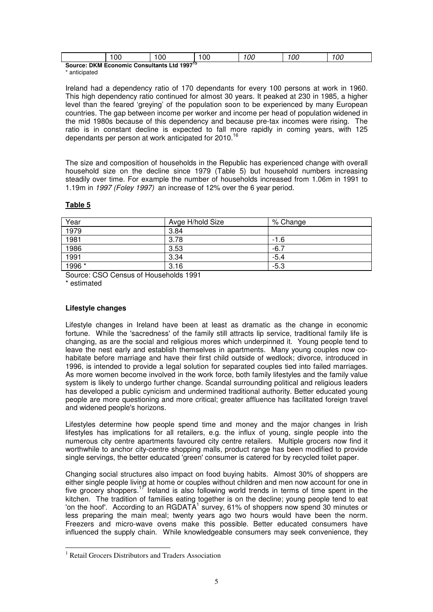|                                                                       | oc | vv | 0C | ОC | ОC | oc<br>UL |
|-----------------------------------------------------------------------|----|----|----|----|----|----------|
| $1997^{15}$<br>Source: DKM E<br>Ltd<br>Economic<br><b>Consultants</b> |    |    |    |    |    |          |

\* anticipated

Ireland had a dependency ratio of 170 dependants for every 100 persons at work in 1960. This high dependency ratio continued for almost 30 years. It peaked at 230 in 1985, a higher level than the feared 'greying' of the population soon to be experienced by many European countries. The gap between income per worker and income per head of population widened in the mid 1980s because of this dependency and because pre-tax incomes were rising. The ratio is in constant decline is expected to fall more rapidly in coming years, with 125 dependants per person at work anticipated for 2010.<sup>16</sup>

The size and composition of households in the Republic has experienced change with overall household size on the decline since 1979 (Table 5) but household numbers increasing steadily over time. For example the number of households increased from 1.06m in 1991 to 1.19m in 1997 (Foley 1997) an increase of 12% over the 6 year period.

#### **Table 5**

| Year   | Avge H/hold Size | % Change |
|--------|------------------|----------|
| 1979   | 3.84             |          |
| 1981   | 3.78             | -1.6     |
| 1986   | 3.53             | $-6.7$   |
| 1991   | 3.34             | $-5.4$   |
| 1996 * | 3.16             | $-5.3$   |

Source: CSO Census of Households 1991

\* estimated

 $\overline{a}$ 

#### **Lifestyle changes**

Lifestyle changes in Ireland have been at least as dramatic as the change in economic fortune. While the 'sacredness' of the family still attracts lip service, traditional family life is changing, as are the social and religious mores which underpinned it. Young people tend to leave the nest early and establish themselves in apartments. Many young couples now cohabitate before marriage and have their first child outside of wedlock; divorce, introduced in 1996, is intended to provide a legal solution for separated couples tied into failed marriages. As more women become involved in the work force, both family lifestyles and the family value system is likely to undergo further change. Scandal surrounding political and religious leaders has developed a public cynicism and undermined traditional authority. Better educated young people are more questioning and more critical; greater affluence has facilitated foreign travel and widened people's horizons.

Lifestyles determine how people spend time and money and the major changes in Irish lifestyles has implications for all retailers, e.g. the influx of young, single people into the numerous city centre apartments favoured city centre retailers. Multiple grocers now find it worthwhile to anchor city-centre shopping malls, product range has been modified to provide single servings, the better educated 'green' consumer is catered for by recycled toilet paper.

Changing social structures also impact on food buying habits. Almost 30% of shoppers are either single people living at home or couples without children and men now account for one in five grocery shoppers.<sup>17</sup> Ireland is also following world trends in terms of time spent in the kitchen. The tradition of families eating together is on the decline; young people tend to eat 'on the hoof'. According to an RGDATA<sup>1</sup> survey, 61% of shoppers now spend 30 minutes or less preparing the main meal; twenty years ago two hours would have been the norm. Freezers and micro-wave ovens make this possible. Better educated consumers have influenced the supply chain. While knowledgeable consumers may seek convenience, they

<sup>&</sup>lt;sup>1</sup> Retail Grocers Distributors and Traders Association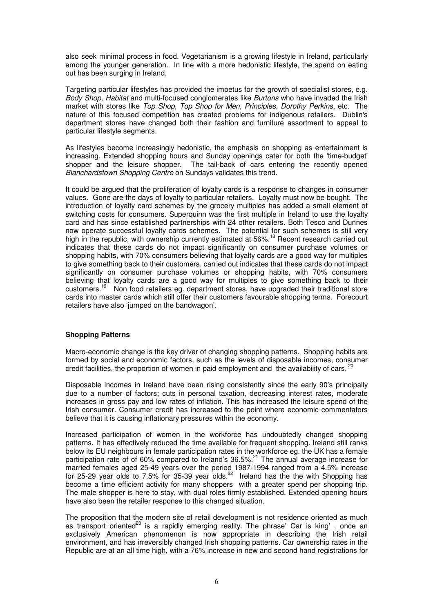also seek minimal process in food. Vegetarianism is a growing lifestyle in Ireland, particularly among the younger generation. In line with a more hedonistic lifestyle, the spend on eating out has been surging in Ireland.

Targeting particular lifestyles has provided the impetus for the growth of specialist stores, e.g. Body Shop, Habitat and multi-focused conglomerates like Burtons who have invaded the Irish market with stores like Top Shop, Top Shop for Men, Principles, Dorothy Perkins, etc. The nature of this focused competition has created problems for indigenous retailers. Dublin's department stores have changed both their fashion and furniture assortment to appeal to particular lifestyle segments.

As lifestyles become increasingly hedonistic, the emphasis on shopping as entertainment is increasing. Extended shopping hours and Sunday openings cater for both the 'time-budget' shopper and the leisure shopper. The tail-back of cars entering the recently opened Blanchardstown Shopping Centre on Sundays validates this trend.

It could be argued that the proliferation of loyalty cards is a response to changes in consumer values. Gone are the days of loyalty to particular retailers. Loyalty must now be bought. The introduction of loyalty card schemes by the grocery multiples has added a small element of switching costs for consumers. Superquinn was the first multiple in Ireland to use the loyalty card and has since established partnerships with 24 other retailers. Both Tesco and Dunnes now operate successful loyalty cards schemes. The potential for such schemes is still very high in the republic, with ownership currently estimated at 56%.<sup>18</sup> Recent research carried out indicates that these cards do not impact significantly on consumer purchase volumes or shopping habits, with 70% consumers believing that loyalty cards are a good way for multiples to give something back to their customers. carried out indicates that these cards do not impact significantly on consumer purchase volumes or shopping habits, with 70% consumers believing that loyalty cards are a good way for multiples to give something back to their customers.<sup>19</sup> Non food retailers eg. department stores, have upgraded their traditional store cards into master cards which still offer their customers favourable shopping terms. Forecourt retailers have also 'jumped on the bandwagon'.

#### **Shopping Patterns**

Macro-economic change is the key driver of changing shopping patterns. Shopping habits are formed by social and economic factors, such as the levels of disposable incomes, consumer credit facilities, the proportion of women in paid employment and the availability of cars.  $20$ 

Disposable incomes in Ireland have been rising consistently since the early 90's principally due to a number of factors; cuts in personal taxation, decreasing interest rates, moderate increases in gross pay and low rates of inflation. This has increased the leisure spend of the Irish consumer. Consumer credit has increased to the point where economic commentators believe that it is causing inflationary pressures within the economy.

Increased participation of women in the workforce has undoubtedly changed shopping patterns. It has effectively reduced the time available for frequent shopping. Ireland still ranks below its EU neighbours in female participation rates in the workforce eg. the UK has a female participation rate of of 60% compared to Ireland's 36.5%.<sup>21</sup> The annual average increase for married females aged 25-49 years over the period 1987-1994 ranged from a 4.5% increase for 25-29 year olds to 7.5% for 35-39 year olds.<sup>22</sup> Ireland has the the with Shopping has become a time efficient activity for many shoppers with a greater spend per shopping trip. The male shopper is here to stay, with dual roles firmly established. Extended opening hours have also been the retailer response to this changed situation.

The proposition that the modern site of retail development is not residence oriented as much as transport oriented<sup>23</sup> is a rapidly emerging reality. The phrase' Car is king', once an exclusively American phenomenon is now appropriate in describing the Irish retail environment, and has irreversibly changed Irish shopping patterns. Car ownership rates in the Republic are at an all time high, with a 76% increase in new and second hand registrations for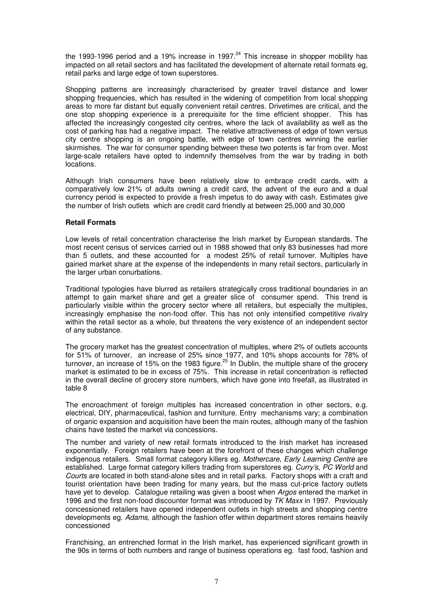the 1993-1996 period and a 19% increase in 1997. $^{24}$  This increase in shopper mobility has impacted on all retail sectors and has facilitated the development of alternate retail formats eg, retail parks and large edge of town superstores.

Shopping patterns are increasingly characterised by greater travel distance and lower shopping frequencies, which has resulted in the widening of competition from local shopping areas to more far distant but equally convenient retail centres. Drivetimes are critical, and the one stop shopping experience is a prerequisite for the time efficient shopper. This has affected the increasingly congested city centres, where the lack of availability as well as the cost of parking has had a negative impact. The relative attractiveness of edge of town versus city centre shopping is an ongoing battle, with edge of town centres winning the earlier skirmishes. The war for consumer spending between these two potents is far from over. Most large-scale retailers have opted to indemnify themselves from the war by trading in both locations.

Although Irish consumers have been relatively slow to embrace credit cards, with a comparatively low 21% of adults owning a credit card, the advent of the euro and a dual currency period is expected to provide a fresh impetus to do away with cash. Estimates give the number of Irish outlets which are credit card friendly at between 25,000 and 30,000

#### **Retail Formats**

Low levels of retail concentration characterise the Irish market by European standards. The most recent census of services carried out in 1988 showed that only 83 businesses had more than 5 outlets, and these accounted for a modest 25% of retail turnover. Multiples have gained market share at the expense of the independents in many retail sectors, particularly in the larger urban conurbations.

Traditional typologies have blurred as retailers strategically cross traditional boundaries in an attempt to gain market share and get a greater slice of consumer spend. This trend is particularly visible within the grocery sector where all retailers, but especially the multiples, increasingly emphasise the non-food offer. This has not only intensified competitive rivalry within the retail sector as a whole, but threatens the very existence of an independent sector of any substance.

The grocery market has the greatest concentration of multiples, where 2% of outlets accounts for 51% of turnover, an increase of 25% since 1977, and 10% shops accounts for 78% of turnover, an increase of 15% on the 1983 figure.<sup>25</sup> In Dublin, the multiple share of the grocery market is estimated to be in excess of 75%. This increase in retail concentration is reflected in the overall decline of grocery store numbers, which have gone into freefall, as illustrated in table 8

The encroachment of foreign multiples has increased concentration in other sectors, e.g. electrical, DIY, pharmaceutical, fashion and furniture. Entry mechanisms vary; a combination of organic expansion and acquisition have been the main routes, although many of the fashion chains have tested the market via concessions.

The number and variety of new retail formats introduced to the Irish market has increased exponentially. Foreign retailers have been at the forefront of these changes which challenge indigenous retailers. Small format category killers eg. Mothercare, Early Learning Centre are established. Large format category killers trading from superstores eg. Curry's, PC World and Courts are located in both stand-alone sites and in retail parks. Factory shops with a craft and tourist orientation have been trading for many years, but the mass cut-price factory outlets have yet to develop. Catalogue retailing was given a boost when Argos entered the market in 1996 and the first non-food discounter format was introduced by TK Maxx in 1997. Previously concessioned retailers have opened independent outlets in high streets and shopping centre developments eg. Adams, although the fashion offer within department stores remains heavily concessioned

Franchising, an entrenched format in the Irish market, has experienced significant growth in the 90s in terms of both numbers and range of business operations eg. fast food, fashion and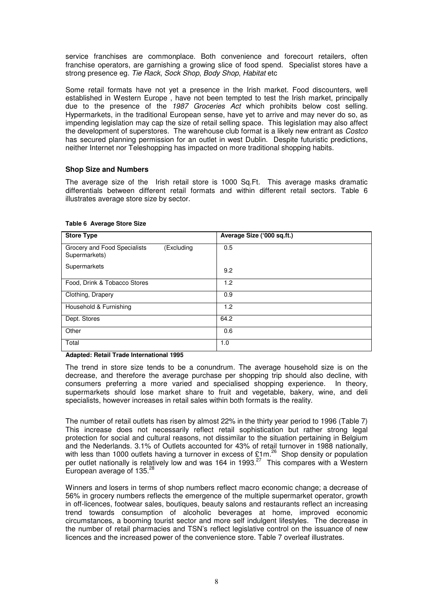service franchises are commonplace. Both convenience and forecourt retailers, often franchise operators, are garnishing a growing slice of food spend. Specialist stores have a strong presence eg. Tie Rack, Sock Shop, Body Shop, Habitat etc

Some retail formats have not yet a presence in the Irish market. Food discounters, well established in Western Europe , have not been tempted to test the Irish market, principally due to the presence of the 1987 Groceries Act which prohibits below cost selling. Hypermarkets, in the traditional European sense, have yet to arrive and may never do so, as impending legislation may cap the size of retail selling space. This legislation may also affect the development of superstores. The warehouse club format is a likely new entrant as Costco has secured planning permission for an outlet in west Dublin. Despite futuristic predictions, neither Internet nor Teleshopping has impacted on more traditional shopping habits.

#### **Shop Size and Numbers**

The average size of the Irish retail store is 1000 Sq.Ft. This average masks dramatic differentials between different retail formats and within different retail sectors. Table 6 illustrates average store size by sector.

| <b>Store Type</b>                                           | Average Size ('000 sq.ft.) |
|-------------------------------------------------------------|----------------------------|
| Grocery and Food Specialists<br>(Excluding<br>Supermarkets) | 0.5                        |
| Supermarkets                                                | 9.2                        |
| Food, Drink & Tobacco Stores                                | 1.2                        |
| Clothing, Drapery                                           | 0.9                        |
| Household & Furnishing                                      | 1.2                        |
| Dept. Stores                                                | 64.2                       |
| Other                                                       | 0.6                        |
| Total                                                       | 1.0                        |

#### **Table 6 Average Store Size**

**Adapted: Retail Trade International 1995** 

The trend in store size tends to be a conundrum. The average household size is on the decrease, and therefore the average purchase per shopping trip should also decline, with consumers preferring a more varied and specialised shopping experience. In theory, supermarkets should lose market share to fruit and vegetable, bakery, wine, and deli specialists, however increases in retail sales within both formats is the reality.

The number of retail outlets has risen by almost 22% in the thirty year period to 1996 (Table 7) This increase does not necessarily reflect retail sophistication but rather strong legal protection for social and cultural reasons, not dissimilar to the situation pertaining in Belgium and the Nederlands. 3.1% of Outlets accounted for 43% of retail turnover in 1988 nationally, with less than 1000 outlets having a turnover in excess of £1m.<sup>26</sup> Shop density or population per outlet nationally is relatively low and was 164 in 1993. $^{27}$  This compares with a Western European average of  $135.<sup>2</sup>$ 

Winners and losers in terms of shop numbers reflect macro economic change; a decrease of 56% in grocery numbers reflects the emergence of the multiple supermarket operator, growth in off-licences, footwear sales, boutiques, beauty salons and restaurants reflect an increasing trend towards consumption of alcoholic beverages at home, improved economic circumstances, a booming tourist sector and more self indulgent lifestyles. The decrease in the number of retail pharmacies and TSN's reflect legislative control on the issuance of new licences and the increased power of the convenience store. Table 7 overleaf illustrates.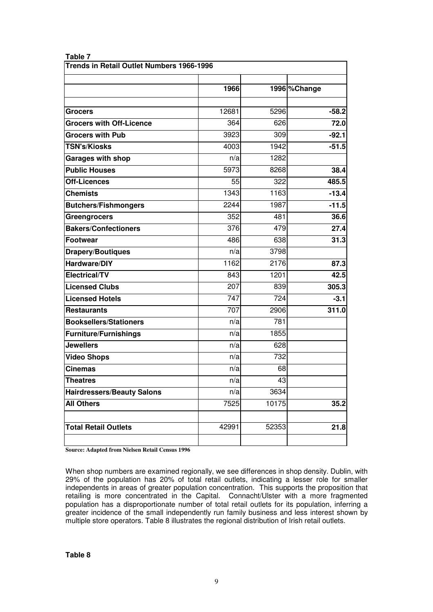| <b>Trends in Retail Outlet Numbers 1966-1996</b> |       |       |              |  |
|--------------------------------------------------|-------|-------|--------------|--|
|                                                  | 1966  |       | 1996 %Change |  |
| <b>Grocers</b>                                   | 12681 | 5296  | $-58.2$      |  |
| <b>Grocers with Off-Licence</b>                  | 364   | 626   | 72.0         |  |
| <b>Grocers with Pub</b>                          | 3923  | 309   | $-92.1$      |  |
| <b>TSN's/Kiosks</b>                              | 4003  | 1942  | $-51.5$      |  |
| <b>Garages with shop</b>                         | n/a   | 1282  |              |  |
| <b>Public Houses</b>                             | 5973  | 8268  | 38.4         |  |
| <b>Off-Licences</b>                              | 55    | 322   | 485.5        |  |
| <b>Chemists</b>                                  | 1343  | 1163  | $-13.4$      |  |
| <b>Butchers/Fishmongers</b>                      | 2244  | 1987  | $-11.5$      |  |
| <b>Greengrocers</b>                              | 352   | 481   | 36.6         |  |
| <b>Bakers/Confectioners</b>                      | 376   | 479   | 27.4         |  |
| <b>Footwear</b>                                  | 486   | 638   | 31.3         |  |
| <b>Drapery/Boutiques</b>                         | n/a   | 3798  |              |  |
| Hardware/DIY                                     | 1162  | 2176  | 87.3         |  |
| <b>Electrical/TV</b>                             | 843   | 1201  | 42.5         |  |
| <b>Licensed Clubs</b>                            | 207   | 839   | 305.3        |  |
| <b>Licensed Hotels</b>                           | 747   | 724   | $-3.1$       |  |
| <b>Restaurants</b>                               | 707   | 2906  | 311.0        |  |
| <b>Booksellers/Stationers</b>                    | n/a   | 781   |              |  |
| <b>Furniture/Furnishings</b>                     | n/a   | 1855  |              |  |
| <b>Jewellers</b>                                 | n/a   | 628   |              |  |
| <b>Video Shops</b>                               | n/a   | 732   |              |  |
| <b>Cinemas</b>                                   | n/a   | 68    |              |  |
| <b>Theatres</b>                                  | n/a   | 43    |              |  |
| <b>Hairdressers/Beauty Salons</b>                | n/a   | 3634  |              |  |
| <b>All Others</b>                                | 7525  | 10175 | 35.2         |  |
| <b>Total Retail Outlets</b>                      | 42991 | 52353 | 21.8         |  |
|                                                  |       |       |              |  |

#### **Table 7**

**Source: Adapted from Nielsen Retail Census 1996**

When shop numbers are examined regionally, we see differences in shop density. Dublin, with 29% of the population has 20% of total retail outlets, indicating a lesser role for smaller independents in areas of greater population concentration. This supports the proposition that retailing is more concentrated in the Capital. Connacht/Ulster with a more fragmented population has a disproportionate number of total retail outlets for its population, inferring a greater incidence of the small independently run family business and less interest shown by multiple store operators. Table 8 illustrates the regional distribution of Irish retail outlets.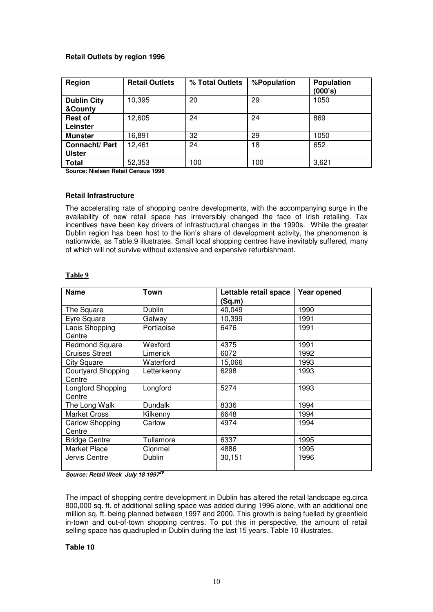#### **Retail Outlets by region 1996**

| Region                         | <b>Retail Outlets</b> | % Total Outlets | %Population | <b>Population</b><br>(000's) |
|--------------------------------|-----------------------|-----------------|-------------|------------------------------|
| <b>Dublin City</b><br>&County  | 10,395                | 20              | 29          | 1050                         |
| <b>Rest of</b><br>Leinster     | 12,605                | 24              | 24          | 869                          |
| <b>Munster</b>                 | 16,891                | 32              | 29          | 1050                         |
| Connacht/Part<br><b>Ulster</b> | 12,461                | 24              | 18          | 652                          |
| <b>Total</b>                   | 52,353                | 100             | 100         | 3,621                        |

**Source: Nielsen Retail Census 1996** 

#### **Retail Infrastructure**

The accelerating rate of shopping centre developments, with the accompanying surge in the availability of new retail space has irreversibly changed the face of Irish retailing. Tax incentives have been key drivers of infrastructural changes in the 1990s. While the greater Dublin region has been host to the lion's share of development activity, the phenomenon is nationwide, as Table.9 illustrates. Small local shopping centres have inevitably suffered, many of which will not survive without extensive and expensive refurbishment.

#### **Table 9**

| <b>Name</b>                         | Town           | Lettable retail space<br>(Sq.m) | Year opened |
|-------------------------------------|----------------|---------------------------------|-------------|
| The Square                          | Dublin         | 40,049                          | 1990        |
| Eyre Square                         | Galway         | 10,399                          | 1991        |
| Laois Shopping<br>Centre            | Portlaoise     | 6476                            | 1991        |
| <b>Redmond Square</b>               | Wexford        | 4375                            | 1991        |
| Cruises Street                      | Limerick       | 6072                            | 1992        |
| <b>City Square</b>                  | Waterford      | 15,066                          | 1993        |
| <b>Courtyard Shopping</b><br>Centre | Letterkenny    | 6298                            | 1993        |
| Longford Shopping<br>Centre         | Longford       | 5274                            | 1993        |
| The Long Walk                       | <b>Dundalk</b> | 8336                            | 1994        |
| <b>Market Cross</b>                 | Kilkenny       | 6648                            | 1994        |
| Carlow Shopping<br>Centre           | Carlow         | 4974                            | 1994        |
| <b>Bridge Centre</b>                | Tullamore      | 6337                            | 1995        |
| Market Place                        | Clonmel        | 4886                            | 1995        |
| Jervis Centre                       | Dublin         | 30,151                          | 1996        |

**Source: Retail Week July 18 1997<sup>29</sup>**

The impact of shopping centre development in Dublin has altered the retail landscape eg.circa 800,000 sq. ft. of additional selling space was added during 1996 alone, with an additional one million sq. ft. being planned between 1997 and 2000. This growth is being fuelled by greenfield in-town and out-of-town shopping centres. To put this in perspective, the amount of retail selling space has quadrupled in Dublin during the last 15 years. Table 10 illustrates.

#### **Table 10**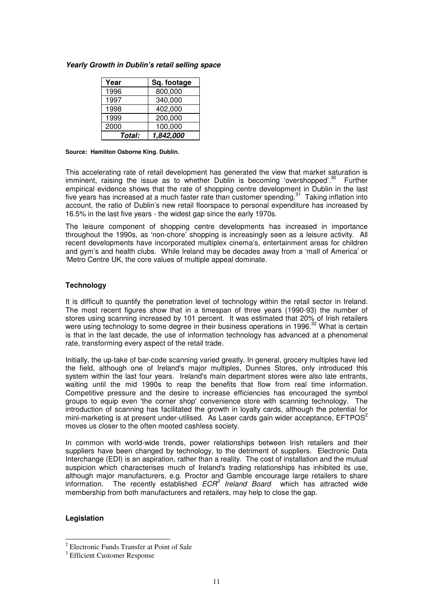| Year   | Sq. footage |
|--------|-------------|
| 1996   | 800,000     |
| 1997   | 340,000     |
| 1998   | 402,000     |
| 1999   | 200,000     |
| 2000   | 100,000     |
| Total: | 1,842,000   |

#### **Yearly Growth in Dublin's retail selling space**

#### **Source: Hamilton Osborne King. Dublin.**

This accelerating rate of retail development has generated the view that market saturation is imminent, raising the issue as to whether Dublin is becoming 'overshopped'.<sup>30</sup> Further empirical evidence shows that the rate of shopping centre development in Dublin in the last five years has increased at a much faster rate than customer spending.<sup>31</sup> Taking inflation into account, the ratio of Dublin's new retail floorspace to personal expenditure has increased by 16.5% in the last five years - the widest gap since the early 1970s.

The leisure component of shopping centre developments has increased in importance throughout the 1990s, as 'non-chore' shopping is increasingly seen as a leisure activity. All recent developments have incorporated multiplex cinema's, entertainment areas for children and gym's and health clubs. While Ireland may be decades away from a 'mall of America' or 'Metro Centre UK, the core values of multiple appeal dominate.

#### **Technology**

It is difficult to quantify the penetration level of technology within the retail sector in Ireland. The most recent figures show that in a timespan of three years (1990-93) the number of stores using scanning increased by 101 percent. It was estimated that 20% of Irish retailers were using technology to some degree in their business operations in 1996.<sup>32</sup> What is certain is that in the last decade, the use of information technology has advanced at a phenomenal rate, transforming every aspect of the retail trade.

Initially, the up-take of bar-code scanning varied greatly. In general, grocery multiples have led the field, although one of Ireland's major multiples, Dunnes Stores, only introduced this system within the last four years. Ireland's main department stores were also late entrants, waiting until the mid 1990s to reap the benefits that flow from real time information. Competitive pressure and the desire to increase efficiencies has encouraged the symbol groups to equip even 'the corner shop' convenience store with scanning technology. The introduction of scanning has facilitated the growth in loyalty cards, although the potential for mini-marketing is at present under-utilised. As Laser cards gain wider acceptance,  $EFTPOS<sup>2</sup>$ moves us closer to the often mooted cashless society.

In common with world-wide trends, power relationships between Irish retailers and their suppliers have been changed by technology, to the detriment of suppliers. Electronic Data Interchange (EDI) is an aspiration, rather than a reality. The cost of installation and the mutual suspicion which characterises much of Ireland's trading relationships has inhibited its use, although major manufacturers, e.g. Proctor and Gamble encourage large retailers to share information. The recently established  $ECR^3$  Ireland Board which has attracted wide membership from both manufacturers and retailers, may help to close the gap.

#### **Legislation**

 2 Electronic Funds Transfer at Point of Sale

<sup>&</sup>lt;sup>3</sup> Efficient Customer Response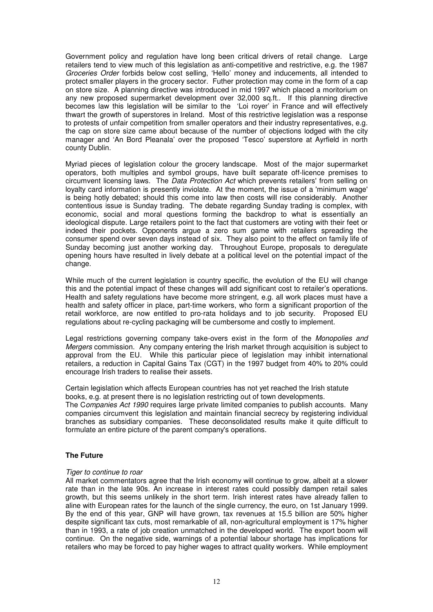Government policy and regulation have long been critical drivers of retail change. Large retailers tend to view much of this legislation as anti-competitive and restrictive, e.g. the 1987 Groceries Order forbids below cost selling, 'Hello' money and inducements, all intended to protect smaller players in the grocery sector. Futher protection may come in the form of a cap on store size. A planning directive was introduced in mid 1997 which placed a moritorium on any new proposed supermarket development over 32,000 sq.ft.. If this planning directive becomes law this legislation will be similar to the 'Loi royer' in France and will effectively thwart the growth of superstores in Ireland. Most of this restrictive legislation was a response to protests of unfair competition from smaller operators and their industry representatives, e.g. the cap on store size came about because of the number of objections lodged with the city manager and 'An Bord Pleanala' over the proposed 'Tesco' superstore at Ayrfield in north county Dublin.

Myriad pieces of legislation colour the grocery landscape. Most of the major supermarket operators, both multiples and symbol groups, have built separate off-licence premises to circumvent licensing laws. The *Data Protection Act* which prevents retailers' from selling on loyalty card information is presently inviolate. At the moment, the issue of a 'minimum wage' is being hotly debated; should this come into law then costs will rise considerably. Another contentious issue is Sunday trading. The debate regarding Sunday trading is complex, with economic, social and moral questions forming the backdrop to what is essentially an ideological dispute. Large retailers point to the fact that customers are voting with their feet or indeed their pockets. Opponents argue a zero sum game with retailers spreading the consumer spend over seven days instead of six. They also point to the effect on family life of Sunday becoming just another working day. Throughout Europe, proposals to deregulate opening hours have resulted in lively debate at a political level on the potential impact of the change.

While much of the current legislation is country specific, the evolution of the EU will change this and the potential impact of these changes will add significant cost to retailer's operations. Health and safety regulations have become more stringent, e.g. all work places must have a health and safety officer in place, part-time workers, who form a significant proportion of the retail workforce, are now entitled to pro-rata holidays and to job security. Proposed EU regulations about re-cycling packaging will be cumbersome and costly to implement.

Legal restrictions governing company take-overs exist in the form of the Monopolies and Mergers commission. Any company entering the Irish market through acquisition is subject to approval from the EU. While this particular piece of legislation may inhibit international retailers, a reduction in Capital Gains Tax (CGT) in the 1997 budget from 40% to 20% could encourage Irish traders to realise their assets.

Certain legislation which affects European countries has not yet reached the Irish statute books, e.g. at present there is no legislation restricting out of town developments.

The Companies Act 1990 requires large private limited companies to publish accounts. Many companies circumvent this legislation and maintain financial secrecy by registering individual branches as subsidiary companies. These deconsolidated results make it quite difficult to formulate an entire picture of the parent company's operations.

#### **The Future**

#### Tiger to continue to roar

All market commentators agree that the Irish economy will continue to grow, albeit at a slower rate than in the late 90s. An increase in interest rates could possibly dampen retail sales growth, but this seems unlikely in the short term. Irish interest rates have already fallen to aline with European rates for the launch of the single currency, the euro, on 1st January 1999. By the end of this year, GNP will have grown, tax revenues at 15.5 billion are 50% higher despite significant tax cuts, most remarkable of all, non-agricultural employment is 17% higher than in 1993, a rate of job creation unmatched in the developed world. The export boom will continue. On the negative side, warnings of a potential labour shortage has implications for retailers who may be forced to pay higher wages to attract quality workers. While employment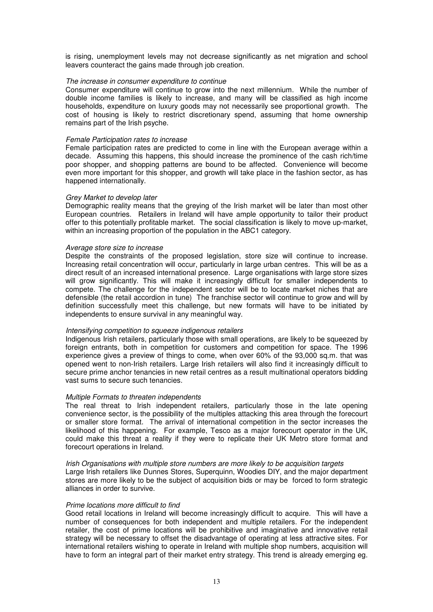is rising, unemployment levels may not decrease significantly as net migration and school leavers counteract the gains made through job creation.

#### The increase in consumer expenditure to continue

Consumer expenditure will continue to grow into the next millennium. While the number of double income families is likely to increase, and many will be classified as high income households, expenditure on luxury goods may not necessarily see proportional growth. The cost of housing is likely to restrict discretionary spend, assuming that home ownership remains part of the Irish psyche.

#### Female Participation rates to increase

Female participation rates are predicted to come in line with the European average within a decade. Assuming this happens, this should increase the prominence of the cash rich/time poor shopper, and shopping patterns are bound to be affected. Convenience will become even more important for this shopper, and growth will take place in the fashion sector, as has happened internationally.

#### Grey Market to develop later

Demographic reality means that the greying of the Irish market will be later than most other European countries. Retailers in Ireland will have ample opportunity to tailor their product offer to this potentially profitable market. The social classification is likely to move up-market, within an increasing proportion of the population in the ABC1 category.

#### Average store size to increase

Despite the constraints of the proposed legislation, store size will continue to increase. Increasing retail concentration will occur, particularly in large urban centres. This will be as a direct result of an increased international presence. Large organisations with large store sizes will grow significantly. This will make it increasingly difficult for smaller independents to compete. The challenge for the independent sector will be to locate market niches that are defensible (the retail accordion in tune) The franchise sector will continue to grow and will by definition successfully meet this challenge, but new formats will have to be initiated by independents to ensure survival in any meaningful way.

#### Intensifying competition to squeeze indigenous retailers

Indigenous Irish retailers, particularly those with small operations, are likely to be squeezed by foreign entrants, both in competition for customers and competition for space. The 1996 experience gives a preview of things to come, when over 60% of the 93,000 sq.m. that was opened went to non-Irish retailers. Large Irish retailers will also find it increasingly difficult to secure prime anchor tenancies in new retail centres as a result multinational operators bidding vast sums to secure such tenancies.

#### Multiple Formats to threaten independents

The real threat to Irish independent retailers, particularly those in the late opening convenience sector, is the possibility of the multiples attacking this area through the forecourt or smaller store format. The arrival of international competition in the sector increases the likelihood of this happening. For example, Tesco as a major forecourt operator in the UK, could make this threat a reality if they were to replicate their UK Metro store format and forecourt operations in Ireland.

#### Irish Organisations with multiple store numbers are more likely to be acquisition targets

Large Irish retailers like Dunnes Stores, Superquinn, Woodies DIY, and the major department stores are more likely to be the subject of acquisition bids or may be forced to form strategic alliances in order to survive.

#### Prime locations more difficult to find

Good retail locations in Ireland will become increasingly difficult to acquire. This will have a number of consequences for both independent and multiple retailers. For the independent retailer, the cost of prime locations will be prohibitive and imaginative and innovative retail strategy will be necessary to offset the disadvantage of operating at less attractive sites. For international retailers wishing to operate in Ireland with multiple shop numbers, acquisition will have to form an integral part of their market entry strategy. This trend is already emerging eg.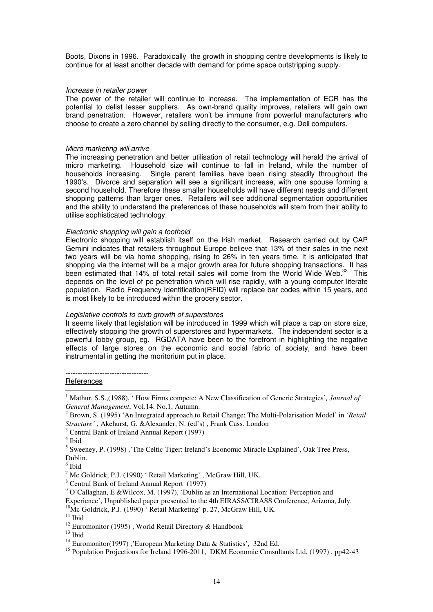Boots, Dixons in 1996. Paradoxically the growth in shopping centre developments is likely to continue for at least another decade with demand for prime space outstripping supply.

#### Increase in retailer power

The power of the retailer will continue to increase. The implementation of ECR has the potential to delist lesser suppliers. As own-brand quality improves, retailers will gain own brand penetration. However, retailers won't be immune from powerful manufacturers who choose to create a zero channel by selling directly to the consumer, e.g. Dell computers.

#### Micro marketing will arrive

The increasing penetration and better utilisation of retail technology will herald the arrival of micro marketing. Household size will continue to fall in Ireland, while the number of households increasing. Single parent families have been rising steadily throughout the 1990's. Divorce and separation will see a significant increase, with one spouse forming a second household. Therefore these smaller households will have different needs and different shopping patterns than larger ones. Retailers will see additional segmentation opportunities and the ability to understand the preferences of these households will stem from their ability to utilise sophisticated technology.

#### Electronic shopping will gain a foothold

Electronic shopping will establish itself on the Irish market. Research carried out by CAP Gemini indicates that retailers throughout Europe believe that 13% of their sales in the next two years will be via home shopping, rising to 26% in ten years time. It is anticipated that shopping via the internet will be a major growth area for future shopping transactions. It has been estimated that 14% of total retail sales will come from the World Wide Web.<sup>33</sup> This depends on the level of pc penetration which will rise rapidly, with a young computer literate population. Radio Frequency Identification(RFID) will replace bar codes within 15 years, and is most likely to be introduced within the grocery sector.

#### Legislative controls to curb growth of superstores

It seems likely that legislation will be introduced in 1999 which will place a cap on store size, effectively stopping the growth of superstores and hypermarkets. The independent sector is a powerful lobby group, eg. RGDATA have been to the forefront in highlighting the negative effects of large stores on the economic and social fabric of society, and have been instrumental in getting the moritorium put in place.

**References**  $\overline{a}$ 

<sup>&</sup>lt;sup>1</sup> Mathur, S.S.,(1988), 'How Firms compete: A New Classification of Generic Strategies', Journal of *General Management*, Vol.14. No.1, Autumn.

<sup>2</sup> Brown, S. (1995) 'An Integrated approach to Retail Change: The Multi-Polarisation Model' in *'Retail Structure'* , Akehurst, G. &Alexander, N. (ed's) , Frank Cass. London

<sup>&</sup>lt;sup>3</sup> Central Bank of Ireland Annual Report (1997)

<sup>4</sup> Ibid

<sup>&</sup>lt;sup>5</sup> Sweeney, P. (1998), 'The Celtic Tiger: Ireland's Economic Miracle Explained', Oak Tree Press, Dublin.

<sup>6</sup> Ibid

 $^7$  Mc Goldrick, P.J. (1990) ' Retail Marketing', McGraw Hill, UK.

<sup>&</sup>lt;sup>8</sup> Central Bank of Ireland Annual Report (1997)

<sup>&</sup>lt;sup>9</sup> O'Callaghan, E &Wilcox, M. (1997), 'Dublin as an International Location: Perception and

Experience', Unpublished paper presented to the 4th EIRASS/CIRASS Conference, Arizona, July.

<sup>&</sup>lt;sup>10</sup>Mc Goldrick, P.J. (1990) 'Retail Marketing' p. 27, McGraw Hill, UK.

 $^{\rm 11}$ Ibid

<sup>&</sup>lt;sup>12</sup> Euromonitor (1995), World Retail Directory & Handbook

 $13$  Ibid

<sup>&</sup>lt;sup>14</sup> Euromonitor(1997), 'European Marketing Data & Statistics', 32nd Ed.

<sup>&</sup>lt;sup>15</sup> Population Projections for Ireland 1996-2011, DKM Economic Consultants Ltd, (1997), pp42-43